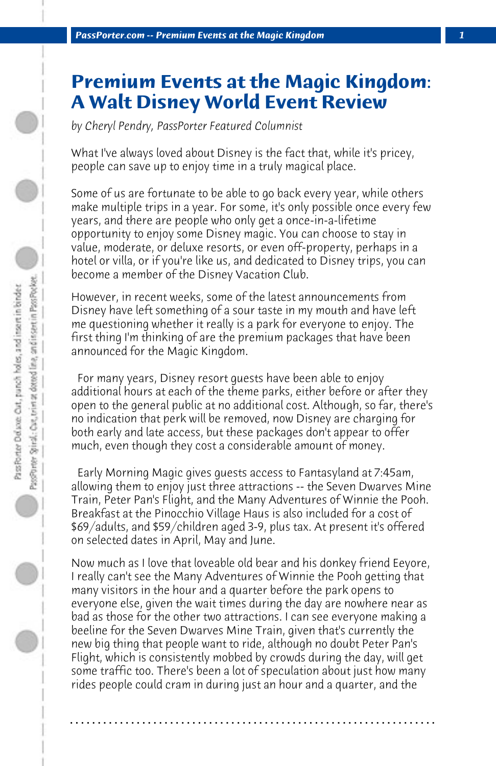## **Premium Events at the Magic Kingdom: A Walt Disney World Event Review**

*by Cheryl Pendry, PassPorter Featured Columnist*

What I've always loved about Disney is the fact that, while it's pricey, people can save up to enjoy time in a truly magical place.

Some of us are fortunate to be able to go back every year, while others make multiple trips in a year. For some, it's only possible once every few years, and there are people who only get a once-in-a-lifetime opportunity to enjoy some Disney magic. You can choose to stay in value, moderate, or deluxe resorts, or even off-property, perhaps in a hotel or villa, or if you're like us, and dedicated to Disney trips, you can become a member of the Disney Vacation Club.

However, in recent weeks, some of the latest announcements from Disney have left something of a sour taste in my mouth and have left me questioning whether it really is a park for everyone to enjoy. The first thing I'm thinking of are the premium packages that have been announced for the Magic Kingdom.

 For many years, Disney resort guests have been able to enjoy additional hours at each of the theme parks, either before or after they open to the general public at no additional cost. Although, so far, there's no indication that perk will be removed, now Disney are charging for both early and late access, but these packages don't appear to offer much, even though they cost a considerable amount of money.

 Early Morning Magic gives guests access to Fantasyland at 7:45am, allowing them to enjoy just three attractions -- the Seven Dwarves Mine Train, Peter Pan's Flight, and the Many Adventures of Winnie the Pooh. Breakfast at the Pinocchio Village Haus is also included for a cost of \$69/adults, and \$59/children aged 3-9, plus tax. At present it's offered on selected dates in April, May and June.

Now much as I love that loveable old bear and his donkey friend Eeyore, I really can't see the Many Adventures of Winnie the Pooh getting that many visitors in the hour and a quarter before the park opens to everyone else, given the wait times during the day are nowhere near as bad as those for the other two attractions. I can see everyone making a beeline for the Seven Dwarves Mine Train, given that's currently the new big thing that people want to ride, although no doubt Peter Pan's Flight, which is consistently mobbed by crowds during the day, will get some traffic too. There's been a lot of speculation about just how many rides people could cram in during just an hour and a quarter, and the

**. . . . . . . . . . . . . . . . . . . . . . . . . . . . . . . . . . . . . . . . . . . . . . . . . . . . . . . . . . . . . . . . . .**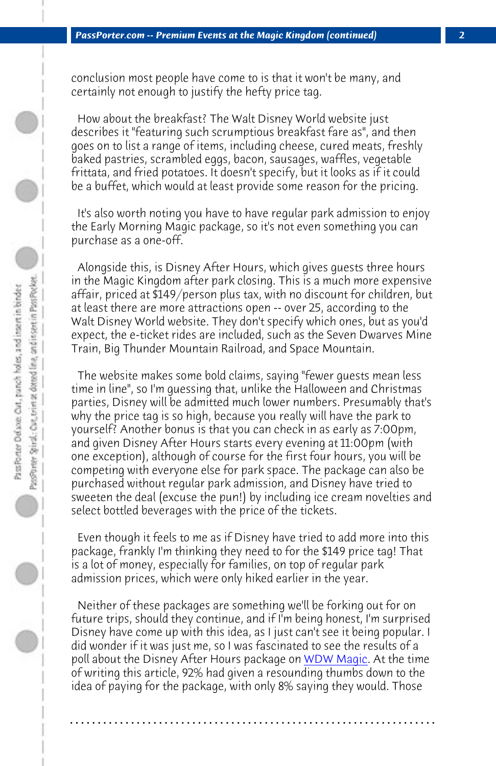*PassPorter.com -- Premium Events at the Magic Kingdom (continued) 2*

conclusion most people have come to is that it won't be many, and certainly not enough to justify the hefty price tag.

 How about the breakfast? The Walt Disney World website just describes it "featuring such scrumptious breakfast fare as", and then goes on to list a range of items, including cheese, cured meats, freshly baked pastries, scrambled eggs, bacon, sausages, waffles, vegetable frittata, and fried potatoes. It doesn't specify, but it looks as if it could be a buffet, which would at least provide some reason for the pricing.

 It's also worth noting you have to have regular park admission to enjoy the Early Morning Magic package, so it's not even something you can purchase as a one-off.

 Alongside this, is Disney After Hours, which gives guests three hours in the Magic Kingdom after park closing. This is a much more expensive affair, priced at \$149/person plus tax, with no discount for children, but at least there are more attractions open -- over 25, according to the Walt Disney World website. They don't specify which ones, but as you'd expect, the e-ticket rides are included, such as the Seven Dwarves Mine Train, Big Thunder Mountain Railroad, and Space Mountain.

 The website makes some bold claims, saying "fewer guests mean less time in line", so I'm guessing that, unlike the Halloween and Christmas parties, Disney will be admitted much lower numbers. Presumably that's why the price tag is so high, because you really will have the park to yourself? Another bonus is that you can check [in as early as](http://www.wdwmagic.com/attractions/magic-kingdom/news/22mar2016-disney-after-hours-offers-premium-ticketed-event-coming-to-the-magic-kingdom-this-spring.htm) 7:00pm, and given Disney After Hours starts every evening at 11:00pm (with one exception), although of course for the first four hours, you will be competing with everyone else for park space. The package can also be purchased without regular park admission, and Disney have tried to sweeten the deal (excuse the pun!) by including ice cream novelties and select bottled beverages with the price of the tickets.

 Even though it feels to me as if Disney have tried to add more into this package, frankly I'm thinking they need to for the \$149 price tag! That is a lot of money, especially for families, on top of regular park admission prices, which were only hiked earlier in the year.

 Neither of these packages are something we'll be forking out for on future trips, should they continue, and if I'm being honest, I'm surprised Disney have come up with this idea, as I just can't see it being popular. I did wonder if it was just me, so I was fascinated to see the results of a poll about the Disney After Hours package on WDW Magic. At the time of writing this article, 92% had given a resounding thumbs down to the idea of paying for the package, with only 8% saying they would. Those

**. . . . . . . . . . . . . . . . . . . . . . . . . . . . . . . . . . . . . . . . . . . . . . . . . . . . . . . . . . . . . . . . . .**